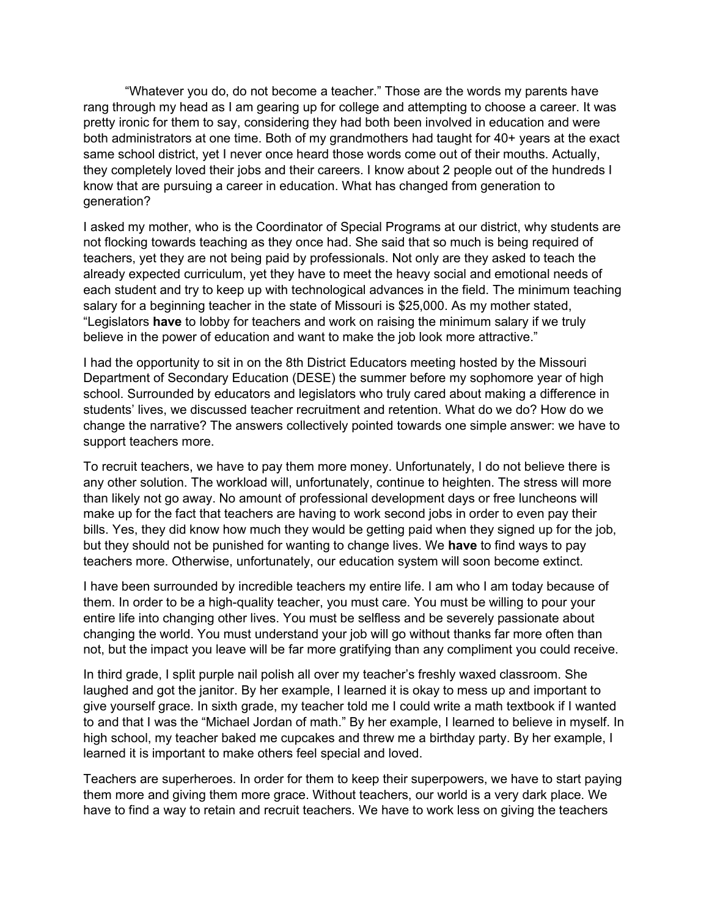"Whatever you do, do not become a teacher." Those are the words my parents have rang through my head as I am gearing up for college and attempting to choose a career. It was pretty ironic for them to say, considering they had both been involved in education and were both administrators at one time. Both of my grandmothers had taught for 40+ years at the exact same school district, yet I never once heard those words come out of their mouths. Actually, they completely loved their jobs and their careers. I know about 2 people out of the hundreds I know that are pursuing a career in education. What has changed from generation to generation?

I asked my mother, who is the Coordinator of Special Programs at our district, why students are not flocking towards teaching as they once had. She said that so much is being required of teachers, yet they are not being paid by professionals. Not only are they asked to teach the already expected curriculum, yet they have to meet the heavy social and emotional needs of each student and try to keep up with technological advances in the field. The minimum teaching salary for a beginning teacher in the state of Missouri is \$25,000. As my mother stated, "Legislators have to lobby for teachers and work on raising the minimum salary if we truly believe in the power of education and want to make the job look more attractive."

I had the opportunity to sit in on the 8th District Educators meeting hosted by the Missouri Department of Secondary Education (DESE) the summer before my sophomore year of high school. Surrounded by educators and legislators who truly cared about making a difference in students' lives, we discussed teacher recruitment and retention. What do we do? How do we change the narrative? The answers collectively pointed towards one simple answer: we have to support teachers more.

To recruit teachers, we have to pay them more money. Unfortunately, I do not believe there is any other solution. The workload will, unfortunately, continue to heighten. The stress will more than likely not go away. No amount of professional development days or free luncheons will make up for the fact that teachers are having to work second jobs in order to even pay their bills. Yes, they did know how much they would be getting paid when they signed up for the job, but they should not be punished for wanting to change lives. We have to find ways to pay teachers more. Otherwise, unfortunately, our education system will soon become extinct.

I have been surrounded by incredible teachers my entire life. I am who I am today because of them. In order to be a high-quality teacher, you must care. You must be willing to pour your entire life into changing other lives. You must be selfless and be severely passionate about changing the world. You must understand your job will go without thanks far more often than not, but the impact you leave will be far more gratifying than any compliment you could receive.

In third grade, I split purple nail polish all over my teacher's freshly waxed classroom. She laughed and got the janitor. By her example, I learned it is okay to mess up and important to give yourself grace. In sixth grade, my teacher told me I could write a math textbook if I wanted to and that I was the "Michael Jordan of math." By her example, I learned to believe in myself. In high school, my teacher baked me cupcakes and threw me a birthday party. By her example, I learned it is important to make others feel special and loved.

Teachers are superheroes. In order for them to keep their superpowers, we have to start paying them more and giving them more grace. Without teachers, our world is a very dark place. We have to find a way to retain and recruit teachers. We have to work less on giving the teachers